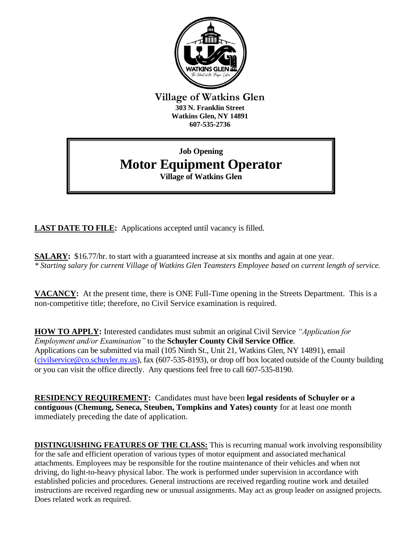

**Village of Watkins Glen 303 N. Franklin Street Watkins Glen, NY 14891 607-535-2736**

## **Job Opening Motor Equipment Operator Village of Watkins Glen**

**LAST DATE TO FILE:** Applications accepted until vacancy is filled.

**SALARY:** \$16.77/hr. to start with a guaranteed increase at six months and again at one year. *\* Starting salary for current Village of Watkins Glen Teamsters Employee based on current length of service.*

**VACANCY:** At the present time, there is ONE Full-Time opening in the Streets Department. This is a non-competitive title; therefore, no Civil Service examination is required.

**HOW TO APPLY:** Interested candidates must submit an original Civil Service *"Application for Employment and/or Examination"* to the **Schuyler County Civil Service Office**. Applications can be submitted via mail (105 Ninth St., Unit 21, Watkins Glen, NY 14891), email [\(civilservice@co.schuyler.ny.us\)](mailto:civilservice@co.schuyler.ny.us), fax (607-535-8193), or drop off box located outside of the County building or you can visit the office directly. Any questions feel free to call 607-535-8190.

**RESIDENCY REQUIREMENT:** Candidates must have been **legal residents of Schuyler or a contiguous (Chemung, Seneca, Steuben, Tompkins and Yates) county** for at least one month immediately preceding the date of application.

**DISTINGUISHING FEATURES OF THE CLASS:** This is recurring manual work involving responsibility for the safe and efficient operation of various types of motor equipment and associated mechanical attachments. Employees may be responsible for the routine maintenance of their vehicles and when not driving, do light-to-heavy physical labor. The work is performed under supervision in accordance with established policies and procedures. General instructions are received regarding routine work and detailed instructions are received regarding new or unusual assignments. May act as group leader on assigned projects. Does related work as required.